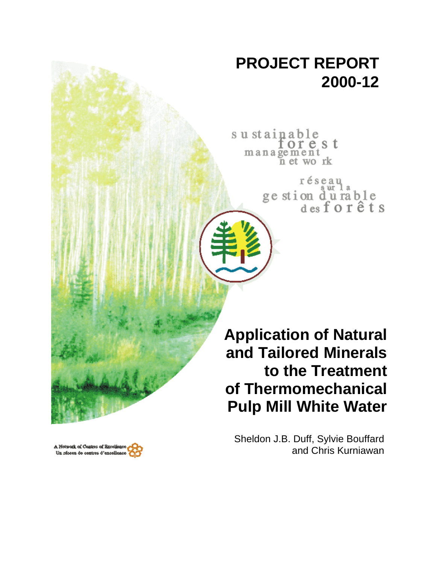# **PROJECT REPORT 2000-12**

sustainable orest management n et work

> réseau ge stion durable<br>desforêts

**Application of Natural and Tailored Minerals to the Treatment of Thermomechanical Pulp Mill White Water**

Sheldon J.B. Duff, Sylvie Bouffard and Chris Kurniawan

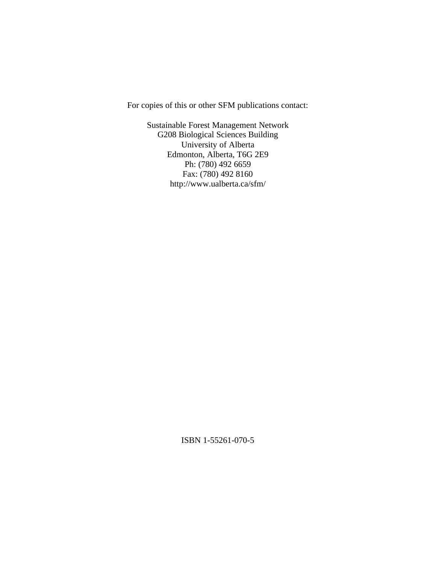For copies of this or other SFM publications contact:

Sustainable Forest Management Network G208 Biological Sciences Building University of Alberta Edmonton, Alberta, T6G 2E9 Ph: (780) 492 6659 Fax: (780) 492 8160 http://www.ualberta.ca/sfm/

ISBN 1-55261-070-5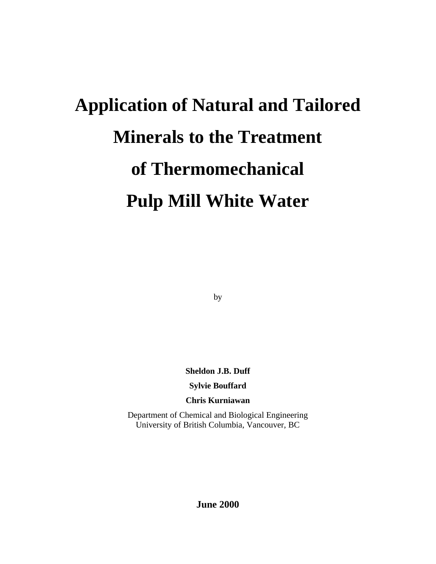# **Application of Natural and Tailored Minerals to the Treatment of Thermomechanical Pulp Mill White Water**

by

**Sheldon J.B. Duff**

**Sylvie Bouffard**

**Chris Kurniawan**

Department of Chemical and Biological Engineering University of British Columbia, Vancouver, BC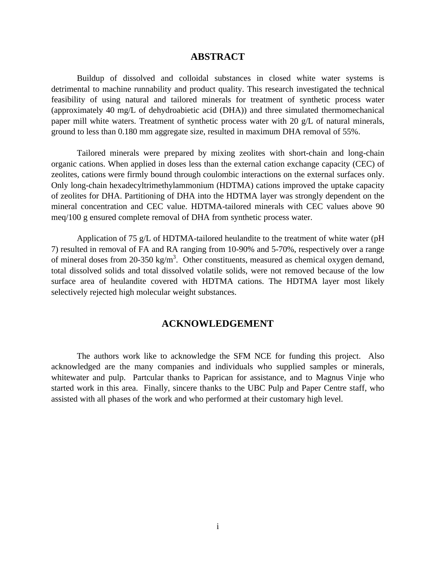#### **ABSTRACT**

Buildup of dissolved and colloidal substances in closed white water systems is detrimental to machine runnability and product quality. This research investigated the technical feasibility of using natural and tailored minerals for treatment of synthetic process water (approximately 40 mg/L of dehydroabietic acid (DHA)) and three simulated thermomechanical paper mill white waters. Treatment of synthetic process water with 20 g/L of natural minerals, ground to less than 0.180 mm aggregate size, resulted in maximum DHA removal of 55%.

Tailored minerals were prepared by mixing zeolites with short-chain and long-chain organic cations. When applied in doses less than the external cation exchange capacity (CEC) of zeolites, cations were firmly bound through coulombic interactions on the external surfaces only. Only long-chain hexadecyltrimethylammonium (HDTMA) cations improved the uptake capacity of zeolites for DHA. Partitioning of DHA into the HDTMA layer was strongly dependent on the mineral concentration and CEC value. HDTMA-tailored minerals with CEC values above 90 meq/100 g ensured complete removal of DHA from synthetic process water.

Application of 75 g/L of HDTMA-tailored heulandite to the treatment of white water (pH 7) resulted in removal of FA and RA ranging from 10-90% and 5-70%, respectively over a range of mineral doses from 20-350 kg/m<sup>3</sup>. Other constituents, measured as chemical oxygen demand, total dissolved solids and total dissolved volatile solids, were not removed because of the low surface area of heulandite covered with HDTMA cations. The HDTMA layer most likely selectively rejected high molecular weight substances.

#### **ACKNOWLEDGEMENT**

The authors work like to acknowledge the SFM NCE for funding this project. Also acknowledged are the many companies and individuals who supplied samples or minerals, whitewater and pulp. Partcular thanks to Paprican for assistance, and to Magnus Vinje who started work in this area. Finally, sincere thanks to the UBC Pulp and Paper Centre staff, who assisted with all phases of the work and who performed at their customary high level.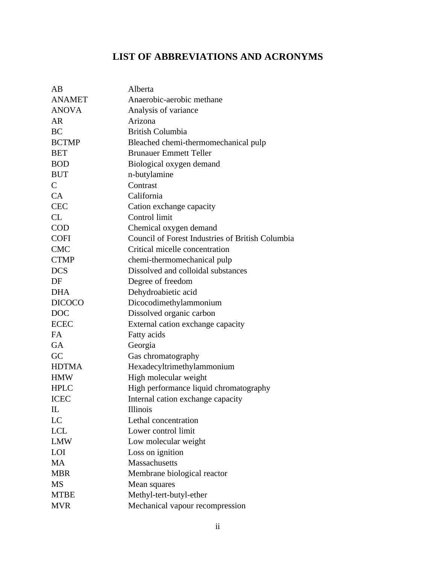## **LIST OF ABBREVIATIONS AND ACRONYMS**

| AB            | Alberta                                          |
|---------------|--------------------------------------------------|
| <b>ANAMET</b> | Anaerobic-aerobic methane                        |
| <b>ANOVA</b>  | Analysis of variance                             |
| <b>AR</b>     | Arizona                                          |
| <b>BC</b>     | <b>British Columbia</b>                          |
| <b>BCTMP</b>  | Bleached chemi-thermomechanical pulp             |
| <b>BET</b>    | <b>Brunauer Emmett Teller</b>                    |
| <b>BOD</b>    | Biological oxygen demand                         |
| <b>BUT</b>    | n-butylamine                                     |
| $\mathsf{C}$  | Contrast                                         |
| CA            | California                                       |
| <b>CEC</b>    | Cation exchange capacity                         |
| CL            | Control limit                                    |
| <b>COD</b>    | Chemical oxygen demand                           |
| <b>COFI</b>   | Council of Forest Industries of British Columbia |
| <b>CMC</b>    | Critical micelle concentration                   |
| <b>CTMP</b>   | chemi-thermomechanical pulp                      |
| <b>DCS</b>    | Dissolved and colloidal substances               |
| DF            | Degree of freedom                                |
| <b>DHA</b>    | Dehydroabietic acid                              |
| <b>DICOCO</b> | Dicocodimethylammonium                           |
| <b>DOC</b>    | Dissolved organic carbon                         |
| <b>ECEC</b>   | External cation exchange capacity                |
| <b>FA</b>     | Fatty acids                                      |
| <b>GA</b>     | Georgia                                          |
| GC            | Gas chromatography                               |
| <b>HDTMA</b>  | Hexadecyltrimethylammonium                       |
| <b>HMW</b>    | High molecular weight                            |
| <b>HPLC</b>   | High performance liquid chromatography           |
| <b>ICEC</b>   | Internal cation exchange capacity                |
| $_{\rm IL}$   | Illinois                                         |
| LC            | Lethal concentration                             |
| <b>LCL</b>    | Lower control limit                              |
| <b>LMW</b>    | Low molecular weight                             |
| LOI           | Loss on ignition                                 |
| <b>MA</b>     | <b>Massachusetts</b>                             |
| <b>MBR</b>    | Membrane biological reactor                      |
| <b>MS</b>     | Mean squares                                     |
| <b>MTBE</b>   | Methyl-tert-butyl-ether                          |
| <b>MVR</b>    | Mechanical vapour recompression                  |
|               |                                                  |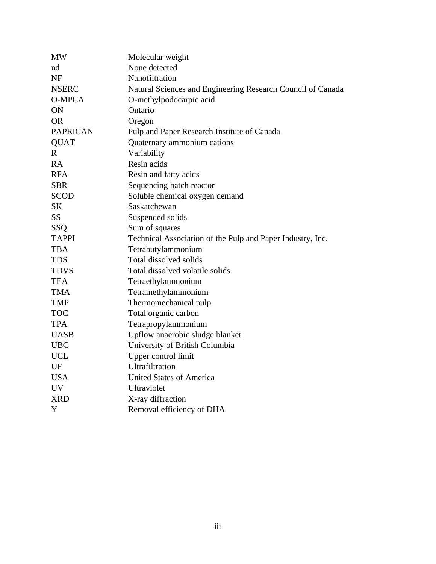| <b>MW</b>       | Molecular weight                                            |
|-----------------|-------------------------------------------------------------|
| nd              | None detected                                               |
| <b>NF</b>       | Nanofiltration                                              |
| <b>NSERC</b>    | Natural Sciences and Engineering Research Council of Canada |
| <b>O-MPCA</b>   | O-methylpodocarpic acid                                     |
| ON              | Ontario                                                     |
| <b>OR</b>       | Oregon                                                      |
| <b>PAPRICAN</b> | Pulp and Paper Research Institute of Canada                 |
| <b>QUAT</b>     | Quaternary ammonium cations                                 |
| $\mathbf{R}$    | Variability                                                 |
| <b>RA</b>       | Resin acids                                                 |
| <b>RFA</b>      | Resin and fatty acids                                       |
| <b>SBR</b>      | Sequencing batch reactor                                    |
| <b>SCOD</b>     | Soluble chemical oxygen demand                              |
| SK              | Saskatchewan                                                |
| <b>SS</b>       | Suspended solids                                            |
| SSQ             | Sum of squares                                              |
| <b>TAPPI</b>    | Technical Association of the Pulp and Paper Industry, Inc.  |
| <b>TBA</b>      | Tetrabutylammonium                                          |
| <b>TDS</b>      | Total dissolved solids                                      |
| <b>TDVS</b>     | Total dissolved volatile solids                             |
| <b>TEA</b>      | Tetraethylammonium                                          |
| <b>TMA</b>      | Tetramethylammonium                                         |
| <b>TMP</b>      | Thermomechanical pulp                                       |
| <b>TOC</b>      | Total organic carbon                                        |
| <b>TPA</b>      | Tetrapropylammonium                                         |
| <b>UASB</b>     | Upflow anaerobic sludge blanket                             |
| <b>UBC</b>      | University of British Columbia                              |
| <b>UCL</b>      | Upper control limit                                         |
| UF              | Ultrafiltration                                             |
| <b>USA</b>      | <b>United States of America</b>                             |
| <b>UV</b>       | Ultraviolet                                                 |
| <b>XRD</b>      | X-ray diffraction                                           |
| Y               | Removal efficiency of DHA                                   |
|                 |                                                             |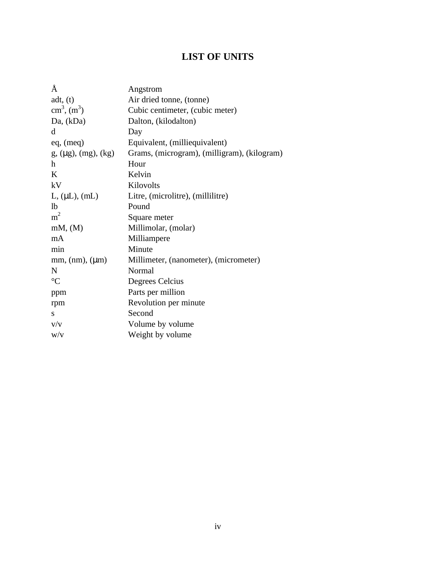## **LIST OF UNITS**

| Å                            | Angstrom                                    |
|------------------------------|---------------------------------------------|
| adt, (t)                     | Air dried tonne, (tonne)                    |
| $\text{cm}^3, \text{ (m}^3)$ | Cubic centimeter, (cubic meter)             |
| Da, (kDa)                    | Dalton, (kilodalton)                        |
| d                            | Day                                         |
| eq, (meq)                    | Equivalent, (milliequivalent)               |
| $g, (\mu g), (mg), (kg)$     | Grams, (microgram), (milligram), (kilogram) |
| h                            | Hour                                        |
| K                            | Kelvin                                      |
| kV                           | Kilovolts                                   |
| $L, (\mu L), (\text{mL})$    | Litre, (microlitre), (millilitre)           |
| 1 <sub>b</sub>               | Pound                                       |
| m <sup>2</sup>               | Square meter                                |
| mM, (M)                      | Millimolar, (molar)                         |
| mA                           | Milliampere                                 |
| min                          | Minute                                      |
| mm, (nm), (µm)               | Millimeter, (nanometer), (micrometer)       |
| N                            | Normal                                      |
| $\rm ^{\circ}C$              | Degrees Celcius                             |
| ppm                          | Parts per million                           |
| rpm                          | Revolution per minute                       |
| S                            | Second                                      |
| V/V                          | Volume by volume                            |
| W/V                          | Weight by volume                            |
|                              |                                             |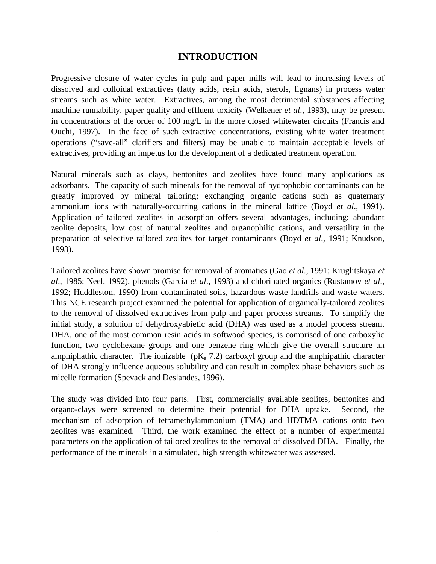#### **INTRODUCTION**

Progressive closure of water cycles in pulp and paper mills will lead to increasing levels of dissolved and colloidal extractives (fatty acids, resin acids, sterols, lignans) in process water streams such as white water. Extractives, among the most detrimental substances affecting machine runnability, paper quality and effluent toxicity (Welkener *et al*., 1993), may be present in concentrations of the order of 100 mg/L in the more closed whitewater circuits (Francis and Ouchi, 1997). In the face of such extractive concentrations, existing white water treatment operations ("save-all" clarifiers and filters) may be unable to maintain acceptable levels of extractives, providing an impetus for the development of a dedicated treatment operation.

Natural minerals such as clays, bentonites and zeolites have found many applications as adsorbants. The capacity of such minerals for the removal of hydrophobic contaminants can be greatly improved by mineral tailoring; exchanging organic cations such as quaternary ammonium ions with naturally-occurring cations in the mineral lattice (Boyd *et al*., 1991). Application of tailored zeolites in adsorption offers several advantages, including: abundant zeolite deposits, low cost of natural zeolites and organophilic cations, and versatility in the preparation of selective tailored zeolites for target contaminants (Boyd *et al*., 1991; Knudson, 1993).

Tailored zeolites have shown promise for removal of aromatics (Gao *et al*., 1991; Kruglitskaya *et al*., 1985; Neel, 1992), phenols (Garcia *et al*., 1993) and chlorinated organics (Rustamov *et al*., 1992; Huddleston, 1990) from contaminated soils, hazardous waste landfills and waste waters. This NCE research project examined the potential for application of organically-tailored zeolites to the removal of dissolved extractives from pulp and paper process streams. To simplify the initial study, a solution of dehydroxyabietic acid (DHA) was used as a model process stream. DHA, one of the most common resin acids in softwood species, is comprised of one carboxylic function, two cyclohexane groups and one benzene ring which give the overall structure an amphiphathic character. The ionizable  $(pK_a 7.2)$  carboxyl group and the amphipathic character of DHA strongly influence aqueous solubility and can result in complex phase behaviors such as micelle formation (Spevack and Deslandes, 1996).

The study was divided into four parts. First, commercially available zeolites, bentonites and organo-clays were screened to determine their potential for DHA uptake. Second, the mechanism of adsorption of tetramethylammonium (TMA) and HDTMA cations onto two zeolites was examined. Third, the work examined the effect of a number of experimental parameters on the application of tailored zeolites to the removal of dissolved DHA. Finally, the performance of the minerals in a simulated, high strength whitewater was assessed.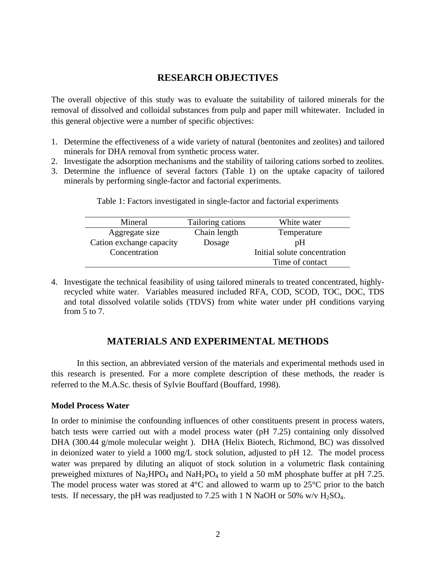#### **RESEARCH OBJECTIVES**

The overall objective of this study was to evaluate the suitability of tailored minerals for the removal of dissolved and colloidal substances from pulp and paper mill whitewater. Included in this general objective were a number of specific objectives:

- 1. Determine the effectiveness of a wide variety of natural (bentonites and zeolites) and tailored minerals for DHA removal from synthetic process water.
- 2. Investigate the adsorption mechanisms and the stability of tailoring cations sorbed to zeolites.
- 3. Determine the influence of several factors (Table 1) on the uptake capacity of tailored minerals by performing single-factor and factorial experiments.

| Mineral                  | Tailoring cations | White water                  |
|--------------------------|-------------------|------------------------------|
| Aggregate size           | Chain length      | Temperature                  |
| Cation exchange capacity | Dosage            | pΗ                           |
| Concentration            |                   | Initial solute concentration |
|                          |                   | Time of contact              |

Table 1: Factors investigated in single-factor and factorial experiments

4. Investigate the technical feasibility of using tailored minerals to treated concentrated, highlyrecycled white water. Variables measured included RFA, COD, SCOD, TOC, DOC, TDS and total dissolved volatile solids (TDVS) from white water under pH conditions varying from 5 to 7.

#### **MATERIALS AND EXPERIMENTAL METHODS**

In this section, an abbreviated version of the materials and experimental methods used in this research is presented. For a more complete description of these methods, the reader is referred to the M.A.Sc. thesis of Sylvie Bouffard (Bouffard, 1998).

#### **Model Process Water**

In order to minimise the confounding influences of other constituents present in process waters, batch tests were carried out with a model process water (pH 7.25) containing only dissolved DHA (300.44 g/mole molecular weight ). DHA (Helix Biotech, Richmond, BC) was dissolved in deionized water to yield a 1000 mg/L stock solution, adjusted to pH 12. The model process water was prepared by diluting an aliquot of stock solution in a volumetric flask containing preweighed mixtures of  $Na<sub>2</sub>HPO<sub>4</sub>$  and  $NaH<sub>2</sub>PO<sub>4</sub>$  to yield a 50 mM phosphate buffer at pH 7.25. The model process water was stored at  $4^{\circ}$ C and allowed to warm up to  $25^{\circ}$ C prior to the batch tests. If necessary, the pH was readjusted to 7.25 with 1 N NaOH or 50% w/v  $H_2SO_4$ .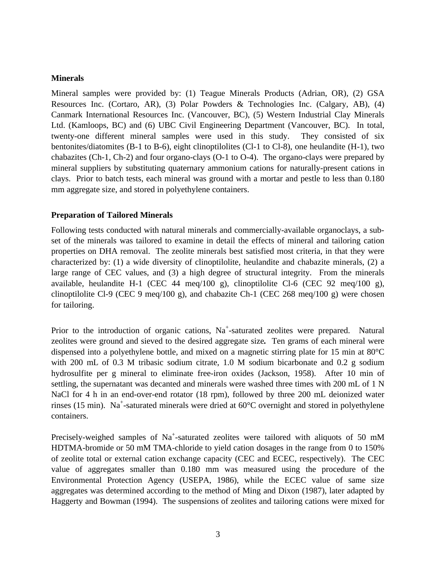#### **Minerals**

Mineral samples were provided by: (1) Teague Minerals Products (Adrian, OR), (2) GSA Resources Inc. (Cortaro, AR), (3) Polar Powders & Technologies Inc. (Calgary, AB), (4) Canmark International Resources Inc. (Vancouver, BC), (5) Western Industrial Clay Minerals Ltd. (Kamloops, BC) and (6) UBC Civil Engineering Department (Vancouver, BC). In total, twenty-one different mineral samples were used in this study. They consisted of six bentonites/diatomites  $(B-1 \text{ to } B-6)$ , eight clinoptilolites  $(Cl-1 \text{ to } Cl-8)$ , one heulandite  $(H-1)$ , two chabazites (Ch-1, Ch-2) and four organo-clays (O-1 to O-4). The organo-clays were prepared by mineral suppliers by substituting quaternary ammonium cations for naturally-present cations in clays. Prior to batch tests, each mineral was ground with a mortar and pestle to less than 0.180 mm aggregate size, and stored in polyethylene containers.

#### **Preparation of Tailored Minerals**

Following tests conducted with natural minerals and commercially-available organoclays, a subset of the minerals was tailored to examine in detail the effects of mineral and tailoring cation properties on DHA removal. The zeolite minerals best satisfied most criteria, in that they were characterized by: (1) a wide diversity of clinoptilolite, heulandite and chabazite minerals, (2) a large range of CEC values, and (3) a high degree of structural integrity. From the minerals available, heulandite H-1 (CEC 44 meq/100 g), clinoptilolite Cl-6 (CEC 92 meq/100 g), clinoptilolite Cl-9 (CEC 9 meq/100 g), and chabazite Ch-1 (CEC 268 meq/100 g) were chosen for tailoring.

Prior to the introduction of organic cations, Na<sup>+</sup>-saturated zeolites were prepared. Natural zeolites were ground and sieved to the desired aggregate size*.* Ten grams of each mineral were dispensed into a polyethylene bottle, and mixed on a magnetic stirring plate for 15 min at 80°C with 200 mL of 0.3 M tribasic sodium citrate, 1.0 M sodium bicarbonate and 0.2 g sodium hydrosulfite per g mineral to eliminate free-iron oxides (Jackson, 1958). After 10 min of settling, the supernatant was decanted and minerals were washed three times with 200 mL of 1 N NaCl for 4 h in an end-over-end rotator (18 rpm), followed by three 200 mL deionized water rinses (15 min). Na<sup>+</sup>-saturated minerals were dried at  $60^{\circ}$ C overnight and stored in polyethylene containers.

Precisely-weighed samples of Na<sup>+</sup>-saturated zeolites were tailored with aliquots of 50 mM HDTMA-bromide or 50 mM TMA-chloride to yield cation dosages in the range from 0 to 150% of zeolite total or external cation exchange capacity (CEC and ECEC, respectively). The CEC value of aggregates smaller than 0.180 mm was measured using the procedure of the Environmental Protection Agency (USEPA, 1986), while the ECEC value of same size aggregates was determined according to the method of Ming and Dixon (1987), later adapted by Haggerty and Bowman (1994). The suspensions of zeolites and tailoring cations were mixed for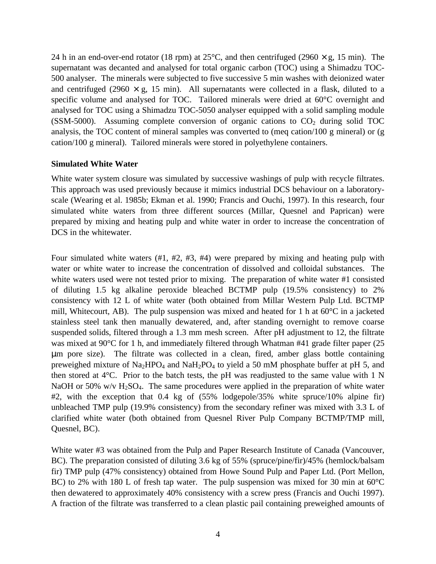24 h in an end-over-end rotator (18 rpm) at 25 $^{\circ}$ C, and then centrifuged (2960  $\times$  g, 15 min). The supernatant was decanted and analysed for total organic carbon (TOC) using a Shimadzu TOC-500 analyser. The minerals were subjected to five successive 5 min washes with deionized water and centrifuged (2960  $\times$  g, 15 min). All supernatants were collected in a flask, diluted to a specific volume and analysed for TOC. Tailored minerals were dried at 60°C overnight and analysed for TOC using a Shimadzu TOC-5050 analyser equipped with a solid sampling module (SSM-5000). Assuming complete conversion of organic cations to  $CO<sub>2</sub>$  during solid TOC analysis, the TOC content of mineral samples was converted to (meq cation/100 g mineral) or (g cation/100 g mineral). Tailored minerals were stored in polyethylene containers.

#### **Simulated White Water**

White water system closure was simulated by successive washings of pulp with recycle filtrates. This approach was used previously because it mimics industrial DCS behaviour on a laboratoryscale (Wearing et al. 1985b; Ekman et al. 1990; Francis and Ouchi, 1997). In this research, four simulated white waters from three different sources (Millar, Quesnel and Paprican) were prepared by mixing and heating pulp and white water in order to increase the concentration of DCS in the whitewater.

Four simulated white waters (#1, #2, #3, #4) were prepared by mixing and heating pulp with water or white water to increase the concentration of dissolved and colloidal substances. The white waters used were not tested prior to mixing. The preparation of white water #1 consisted of diluting 1.5 kg alkaline peroxide bleached BCTMP pulp (19.5% consistency) to 2% consistency with 12 L of white water (both obtained from Millar Western Pulp Ltd. BCTMP mill, Whitecourt, AB). The pulp suspension was mixed and heated for 1 h at  $60^{\circ}$ C in a jacketed stainless steel tank then manually dewatered, and, after standing overnight to remove coarse suspended solids, filtered through a 1.3 mm mesh screen. After pH adjustment to 12, the filtrate was mixed at 90°C for 1 h, and immediately filtered through Whatman #41 grade filter paper (25 μm pore size). The filtrate was collected in a clean, fired, amber glass bottle containing preweighed mixture of  $Na<sub>2</sub>HPO<sub>4</sub>$  and  $NaH<sub>2</sub>PO<sub>4</sub>$  to yield a 50 mM phosphate buffer at pH 5, and then stored at 4°C. Prior to the batch tests, the pH was readjusted to the same value with 1 N NaOH or 50% w/v  $H_2SO_4$ . The same procedures were applied in the preparation of white water #2, with the exception that 0.4 kg of (55% lodgepole/35% white spruce/10% alpine fir) unbleached TMP pulp (19.9% consistency) from the secondary refiner was mixed with 3.3 L of clarified white water (both obtained from Quesnel River Pulp Company BCTMP/TMP mill, Quesnel, BC).

White water #3 was obtained from the Pulp and Paper Research Institute of Canada (Vancouver, BC). The preparation consisted of diluting 3.6 kg of 55% (spruce/pine/fir)/45% (hemlock/balsam fir) TMP pulp (47% consistency) obtained from Howe Sound Pulp and Paper Ltd. (Port Mellon, BC) to 2% with 180 L of fresh tap water. The pulp suspension was mixed for 30 min at 60<sup>o</sup>C then dewatered to approximately 40% consistency with a screw press (Francis and Ouchi 1997). A fraction of the filtrate was transferred to a clean plastic pail containing preweighed amounts of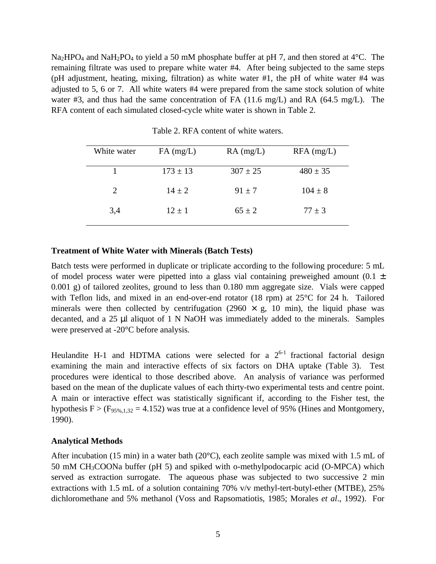$Na<sub>2</sub>HPO<sub>4</sub>$  and NaH<sub>2</sub>PO<sub>4</sub> to yield a 50 mM phosphate buffer at pH 7, and then stored at 4<sup>o</sup>C. The remaining filtrate was used to prepare white water #4. After being subjected to the same steps (pH adjustment, heating, mixing, filtration) as white water #1, the pH of white water #4 was adjusted to 5, 6 or 7. All white waters #4 were prepared from the same stock solution of white water #3, and thus had the same concentration of FA (11.6 mg/L) and RA (64.5 mg/L). The RFA content of each simulated closed-cycle white water is shown in Table 2.

| White water                 | $FA$ (mg/L)  | $RA$ (mg/L)  | $RFA$ (mg/L) |
|-----------------------------|--------------|--------------|--------------|
|                             | $173 \pm 13$ | $307 \pm 25$ | $480 \pm 35$ |
| $\mathcal{D}_{\mathcal{L}}$ | $14 \pm 2$   | $91 \pm 7$   | $104 \pm 8$  |
| 3,4                         | $12 \pm 1$   | $65 \pm 2$   | $77 \pm 3$   |

Table 2. RFA content of white waters.

#### **Treatment of White Water with Minerals (Batch Tests)**

Batch tests were performed in duplicate or triplicate according to the following procedure: 5 mL of model process water were pipetted into a glass vial containing preweighed amount  $(0.1 \pm 1)$ 0.001 g) of tailored zeolites, ground to less than 0.180 mm aggregate size. Vials were capped with Teflon lids, and mixed in an end-over-end rotator (18 rpm) at 25°C for 24 h. Tailored minerals were then collected by centrifugation (2960  $\times$  g, 10 min), the liquid phase was decanted, and a 25 μl aliquot of 1 N NaOH was immediately added to the minerals. Samples were preserved at -20°C before analysis.

Heulandite H-1 and HDTMA cations were selected for a  $2^{6-1}$  fractional factorial design examining the main and interactive effects of six factors on DHA uptake (Table 3). Test procedures were identical to those described above. An analysis of variance was performed based on the mean of the duplicate values of each thirty-two experimental tests and centre point. A main or interactive effect was statistically significant if, according to the Fisher test, the hypothesis  $F > (F_{95\%1,32} = 4.152)$  was true at a confidence level of 95% (Hines and Montgomery, 1990).

#### **Analytical Methods**

After incubation (15 min) in a water bath (20 $^{\circ}$ C), each zeolite sample was mixed with 1.5 mL of 50 mM CH3COONa buffer (pH 5) and spiked with o-methylpodocarpic acid (O-MPCA) which served as extraction surrogate. The aqueous phase was subjected to two successive 2 min extractions with 1.5 mL of a solution containing 70% v/v methyl-tert-butyl-ether (MTBE), 25% dichloromethane and 5% methanol (Voss and Rapsomatiotis, 1985; Morales *et al*., 1992). For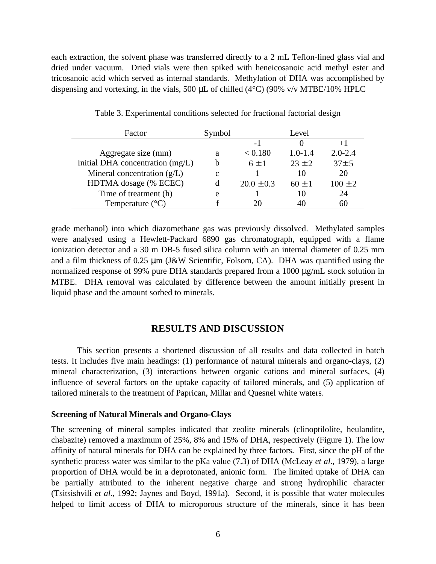each extraction, the solvent phase was transferred directly to a 2 mL Teflon-lined glass vial and dried under vacuum. Dried vials were then spiked with heneicosanoic acid methyl ester and tricosanoic acid which served as internal standards. Methylation of DHA was accomplished by dispensing and vortexing, in the vials, 500 μL of chilled (4°C) (90% v/v MTBE/10% HPLC

| Factor                           | Symbol      |                | Level       |             |
|----------------------------------|-------------|----------------|-------------|-------------|
|                                  |             | - 1            |             |             |
| Aggregate size (mm)              | а           | < 0.180        | $1.0 - 1.4$ | $2.0 - 2.4$ |
| Initial DHA concentration (mg/L) |             | $6 + 1$        | $23 \pm 2$  | $37 \pm 5$  |
| Mineral concentration $(g/L)$    | $\mathbf c$ |                | 10          | 20          |
| HDTMA dosage (% ECEC)            |             | $20.0 \pm 0.3$ | $60 \pm 1$  | $100 \pm 2$ |
| Time of treatment (h)            | e           |                | 10          | 24          |
| Temperature $(^{\circ}C)$        |             |                | 40          | 60          |

Table 3. Experimental conditions selected for fractional factorial design

grade methanol) into which diazomethane gas was previously dissolved. Methylated samples were analysed using a Hewlett-Packard 6890 gas chromatograph, equipped with a flame ionization detector and a 30 m DB-5 fused silica column with an internal diameter of 0.25 mm and a film thickness of 0.25 μm (J&W Scientific, Folsom, CA). DHA was quantified using the normalized response of 99% pure DHA standards prepared from a 1000 μg/mL stock solution in MTBE. DHA removal was calculated by difference between the amount initially present in liquid phase and the amount sorbed to minerals.

#### **RESULTS AND DISCUSSION**

This section presents a shortened discussion of all results and data collected in batch tests. It includes five main headings: (1) performance of natural minerals and organo-clays, (2) mineral characterization, (3) interactions between organic cations and mineral surfaces, (4) influence of several factors on the uptake capacity of tailored minerals, and (5) application of tailored minerals to the treatment of Paprican, Millar and Quesnel white waters.

#### **Screening of Natural Minerals and Organo-Clays**

The screening of mineral samples indicated that zeolite minerals (clinoptilolite, heulandite, chabazite) removed a maximum of 25%, 8% and 15% of DHA, respectively (Figure 1). The low affinity of natural minerals for DHA can be explained by three factors. First, since the pH of the synthetic process water was similar to the pKa value (7.3) of DHA (McLeay *et al*., 1979), a large proportion of DHA would be in a deprotonated, anionic form. The limited uptake of DHA can be partially attributed to the inherent negative charge and strong hydrophilic character (Tsitsishvili *et al*., 1992; Jaynes and Boyd, 1991a). Second, it is possible that water molecules helped to limit access of DHA to microporous structure of the minerals, since it has been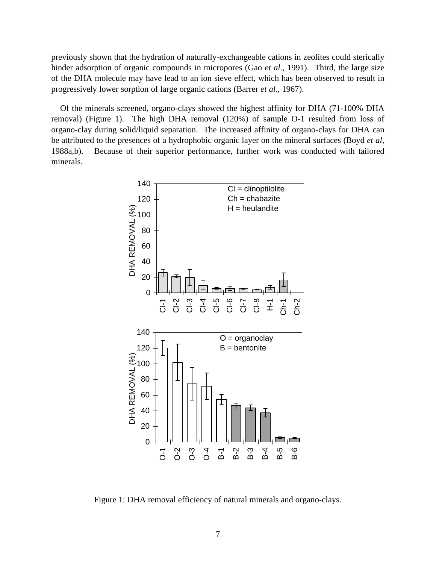previously shown that the hydration of naturally-exchangeable cations in zeolites could sterically hinder adsorption of organic compounds in micropores (Gao *et al*., 1991). Third, the large size of the DHA molecule may have lead to an ion sieve effect, which has been observed to result in progressively lower sorption of large organic cations (Barrer *et al*., 1967).

Of the minerals screened, organo-clays showed the highest affinity for DHA (71-100% DHA removal) (Figure 1). The high DHA removal (120%) of sample O-1 resulted from loss of organo-clay during solid/liquid separation. The increased affinity of organo-clays for DHA can be attributed to the presences of a hydrophobic organic layer on the mineral surfaces (Boyd *et al*, 1988a,b). Because of their superior performance, further work was conducted with tailored minerals.



Figure 1: DHA removal efficiency of natural minerals and organo-clays.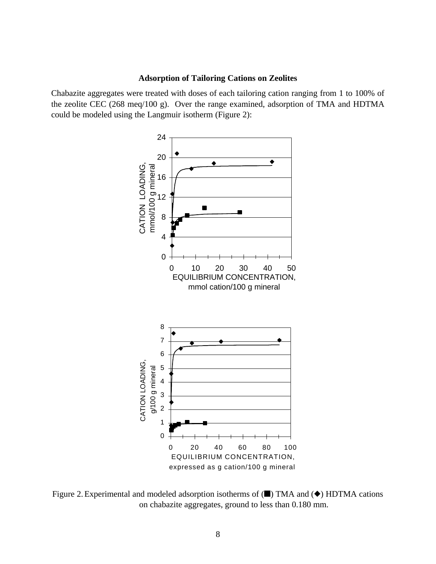#### **Adsorption of Tailoring Cations on Zeolites**

Chabazite aggregates were treated with doses of each tailoring cation ranging from 1 to 100% of the zeolite CEC (268 meq/100 g). Over the range examined, adsorption of TMA and HDTMA could be modeled using the Langmuir isotherm (Figure 2):



Figure 2. Experimental and modeled adsorption isotherms of  $(\blacksquare)$  TMA and  $(\blacklozenge)$  HDTMA cations on chabazite aggregates, ground to less than 0.180 mm.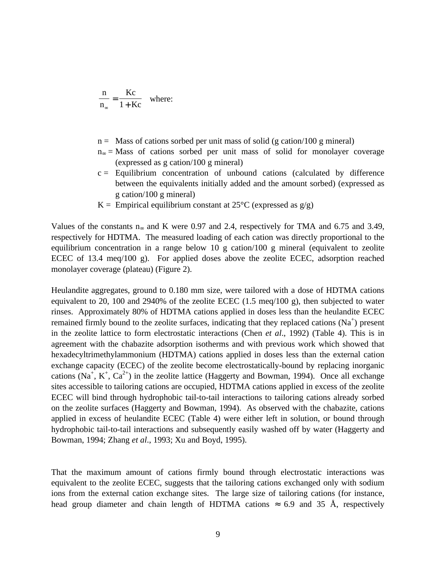$$
\frac{n}{n_{\infty}} = \frac{Kc}{1 + Kc}
$$
 where:

- $n =$  Mass of cations sorbed per unit mass of solid (g cation/100 g mineral)
- n∞ = Mass of cations sorbed per unit mass of solid for monolayer coverage (expressed as g cation/100 g mineral)
- $c =$  Equilibrium concentration of unbound cations (calculated by difference between the equivalents initially added and the amount sorbed) (expressed as g cation/100 g mineral)
- $K =$  Empirical equilibrium constant at 25<sup>o</sup>C (expressed as  $g/g$ )

Values of the constants n∞ and K were 0.97 and 2.4, respectively for TMA and 6.75 and 3.49, respectively for HDTMA. The measured loading of each cation was directly proportional to the equilibrium concentration in a range below 10 g cation/100 g mineral (equivalent to zeolite ECEC of 13.4 meq/100 g). For applied doses above the zeolite ECEC, adsorption reached monolayer coverage (plateau) (Figure 2).

Heulandite aggregates, ground to 0.180 mm size, were tailored with a dose of HDTMA cations equivalent to 20, 100 and 2940% of the zeolite ECEC (1.5 meq/100 g), then subjected to water rinses. Approximately 80% of HDTMA cations applied in doses less than the heulandite ECEC remained firmly bound to the zeolite surfaces, indicating that they replaced cations  $(Na^+)$  present in the zeolite lattice to form electrostatic interactions (Chen *et al*., 1992) (Table 4). This is in agreement with the chabazite adsorption isotherms and with previous work which showed that hexadecyltrimethylammonium (HDTMA) cations applied in doses less than the external cation exchange capacity (ECEC) of the zeolite become electrostatically-bound by replacing inorganic cations (Na<sup>+</sup>, K<sup>+</sup>, Ca<sup>2+</sup>) in the zeolite lattice (Haggerty and Bowman, 1994). Once all exchange sites accessible to tailoring cations are occupied, HDTMA cations applied in excess of the zeolite ECEC will bind through hydrophobic tail-to-tail interactions to tailoring cations already sorbed on the zeolite surfaces (Haggerty and Bowman, 1994). As observed with the chabazite, cations applied in excess of heulandite ECEC (Table 4) were either left in solution, or bound through hydrophobic tail-to-tail interactions and subsequently easily washed off by water (Haggerty and Bowman, 1994; Zhang *et al*., 1993; Xu and Boyd, 1995).

That the maximum amount of cations firmly bound through electrostatic interactions was equivalent to the zeolite ECEC, suggests that the tailoring cations exchanged only with sodium ions from the external cation exchange sites. The large size of tailoring cations (for instance, head group diameter and chain length of HDTMA cations  $\approx$  6.9 and 35 Å, respectively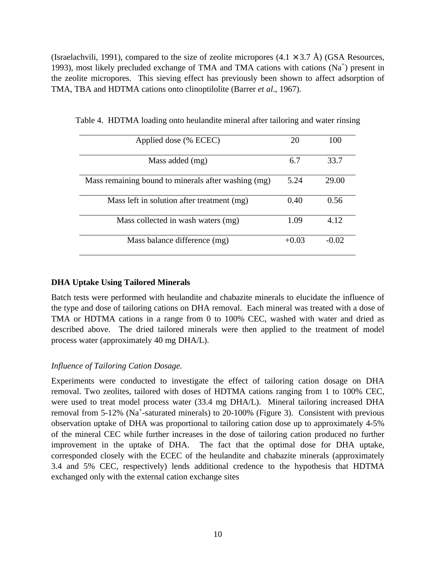(Israelachvili, 1991), compared to the size of zeolite micropores  $(4.1 \times 3.7 \text{ Å})$  (GSA Resources, 1993), most likely precluded exchange of TMA and TMA cations with cations  $(Na^+)$  present in the zeolite micropores. This sieving effect has previously been shown to affect adsorption of TMA, TBA and HDTMA cations onto clinoptilolite (Barrer *et al*., 1967).

| Applied dose (% ECEC)                               | 20      | 100     |
|-----------------------------------------------------|---------|---------|
| Mass added (mg)                                     | 6.7     | 33.7    |
| Mass remaining bound to minerals after washing (mg) | 5.24    | 29.00   |
| Mass left in solution after treatment (mg)          | 0.40    | 0.56    |
| Mass collected in wash waters (mg)                  | 1.09    | 4.12    |
| Mass balance difference (mg)                        | $+0.03$ | $-0.02$ |

Table 4. HDTMA loading onto heulandite mineral after tailoring and water rinsing

#### **DHA Uptake Using Tailored Minerals**

Batch tests were performed with heulandite and chabazite minerals to elucidate the influence of the type and dose of tailoring cations on DHA removal. Each mineral was treated with a dose of TMA or HDTMA cations in a range from 0 to 100% CEC, washed with water and dried as described above. The dried tailored minerals were then applied to the treatment of model process water (approximately 40 mg DHA/L).

#### *Influence of Tailoring Cation Dosage.*

Experiments were conducted to investigate the effect of tailoring cation dosage on DHA removal. Two zeolites, tailored with doses of HDTMA cations ranging from 1 to 100% CEC, were used to treat model process water (33.4 mg DHA/L). Mineral tailoring increased DHA removal from 5-12% (Na<sup>+</sup>-saturated minerals) to 20-100% (Figure 3). Consistent with previous observation uptake of DHA was proportional to tailoring cation dose up to approximately 4-5% of the mineral CEC while further increases in the dose of tailoring cation produced no further improvement in the uptake of DHA. The fact that the optimal dose for DHA uptake, corresponded closely with the ECEC of the heulandite and chabazite minerals (approximately 3.4 and 5% CEC, respectively) lends additional credence to the hypothesis that HDTMA exchanged only with the external cation exchange sites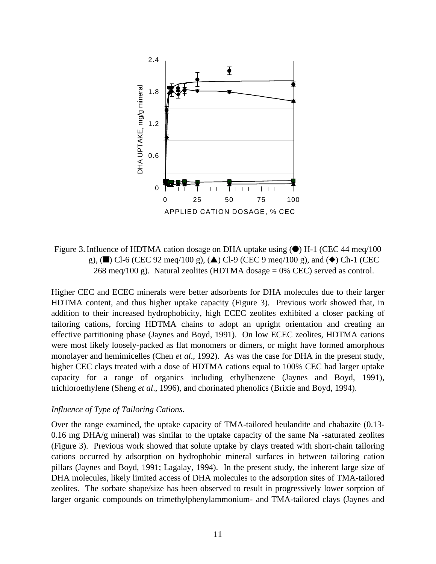

Figure 3. Influence of HDTMA cation dosage on DHA uptake using  $\bullet$ ) H-1 (CEC 44 meq/100 g), (n) Cl-6 (CEC 92 meq/100 g), ( $\triangle$ ) Cl-9 (CEC 9 meq/100 g), and ( $\blacklozenge$ ) Ch-1 (CEC 268 meq/100 g). Natural zeolites (HDTMA dosage  $= 0\%$  CEC) served as control.

Higher CEC and ECEC minerals were better adsorbents for DHA molecules due to their larger HDTMA content, and thus higher uptake capacity (Figure 3). Previous work showed that, in addition to their increased hydrophobicity, high ECEC zeolites exhibited a closer packing of tailoring cations, forcing HDTMA chains to adopt an upright orientation and creating an effective partitioning phase (Jaynes and Boyd, 1991). On low ECEC zeolites, HDTMA cations were most likely loosely-packed as flat monomers or dimers, or might have formed amorphous monolayer and hemimicelles (Chen *et al*., 1992). As was the case for DHA in the present study, higher CEC clays treated with a dose of HDTMA cations equal to 100% CEC had larger uptake capacity for a range of organics including ethylbenzene (Jaynes and Boyd, 1991), trichloroethylene (Sheng *et al*., 1996), and chorinated phenolics (Brixie and Boyd, 1994).

#### *Influence of Type of Tailoring Cations.*

Over the range examined, the uptake capacity of TMA-tailored heulandite and chabazite (0.13- 0.16 mg DHA/g mineral) was similar to the uptake capacity of the same Na<sup>+</sup>-saturated zeolites (Figure 3). Previous work showed that solute uptake by clays treated with short-chain tailoring cations occurred by adsorption on hydrophobic mineral surfaces in between tailoring cation pillars (Jaynes and Boyd, 1991; Lagalay, 1994). In the present study, the inherent large size of DHA molecules, likely limited access of DHA molecules to the adsorption sites of TMA-tailored zeolites. The sorbate shape/size has been observed to result in progressively lower sorption of larger organic compounds on trimethylphenylammonium- and TMA-tailored clays (Jaynes and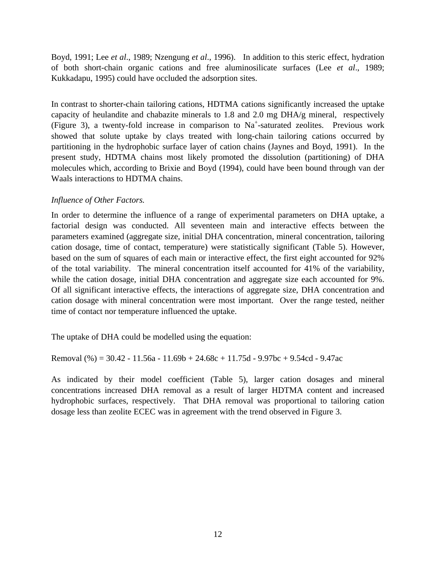Boyd, 1991; Lee *et al*., 1989; Nzengung *et al*., 1996). In addition to this steric effect, hydration of both short-chain organic cations and free aluminosilicate surfaces (Lee *et al*., 1989; Kukkadapu, 1995) could have occluded the adsorption sites.

In contrast to shorter-chain tailoring cations, HDTMA cations significantly increased the uptake capacity of heulandite and chabazite minerals to 1.8 and 2.0 mg DHA/g mineral, respectively (Figure 3), a twenty-fold increase in comparison to Na<sup>+</sup>-saturated zeolites. Previous work showed that solute uptake by clays treated with long-chain tailoring cations occurred by partitioning in the hydrophobic surface layer of cation chains (Jaynes and Boyd, 1991). In the present study, HDTMA chains most likely promoted the dissolution (partitioning) of DHA molecules which, according to Brixie and Boyd (1994), could have been bound through van der Waals interactions to HDTMA chains.

#### *Influence of Other Factors.*

In order to determine the influence of a range of experimental parameters on DHA uptake, a factorial design was conducted. All seventeen main and interactive effects between the parameters examined (aggregate size, initial DHA concentration, mineral concentration, tailoring cation dosage, time of contact, temperature) were statistically significant (Table 5). However, based on the sum of squares of each main or interactive effect, the first eight accounted for 92% of the total variability. The mineral concentration itself accounted for 41% of the variability, while the cation dosage, initial DHA concentration and aggregate size each accounted for 9%. Of all significant interactive effects, the interactions of aggregate size, DHA concentration and cation dosage with mineral concentration were most important. Over the range tested, neither time of contact nor temperature influenced the uptake.

The uptake of DHA could be modelled using the equation:

Removal  $% = 30.42 - 11.56a - 11.69b + 24.68c + 11.75d - 9.97bc + 9.54cd - 9.47ac$ 

As indicated by their model coefficient (Table 5), larger cation dosages and mineral concentrations increased DHA removal as a result of larger HDTMA content and increased hydrophobic surfaces, respectively. That DHA removal was proportional to tailoring cation dosage less than zeolite ECEC was in agreement with the trend observed in Figure 3.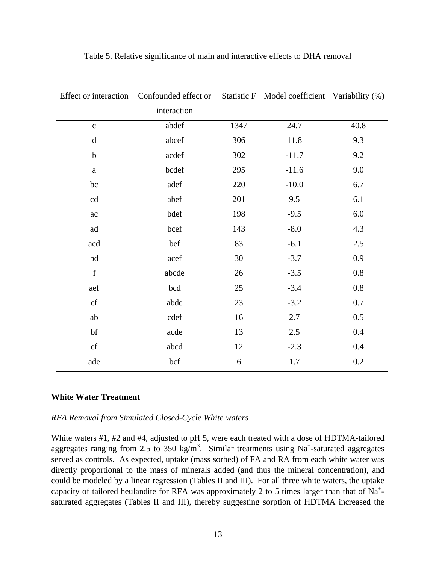| Effect or interaction | Confounded effect or |      | Statistic F Model coefficient Variability (%) |      |
|-----------------------|----------------------|------|-----------------------------------------------|------|
|                       | interaction          |      |                                               |      |
| $\mathbf{C}$          | abdef                | 1347 | 24.7                                          | 40.8 |
| $\mathbf d$           | abcef                | 306  | 11.8                                          | 9.3  |
| $\mathbf b$           | acdef                | 302  | $-11.7$                                       | 9.2  |
| $\rm{a}$              | bcdef                | 295  | $-11.6$                                       | 9.0  |
| bc                    | adef                 | 220  | $-10.0$                                       | 6.7  |
| cd                    | abef                 | 201  | 9.5                                           | 6.1  |
| ac                    | bdef                 | 198  | $-9.5$                                        | 6.0  |
| ad                    | bcef                 | 143  | $-8.0$                                        | 4.3  |
| acd                   | bef                  | 83   | $-6.1$                                        | 2.5  |
| bd                    | acef                 | 30   | $-3.7$                                        | 0.9  |
| $\mathbf f$           | abcde                | 26   | $-3.5$                                        | 0.8  |
| aef                   | bcd                  | 25   | $-3.4$                                        | 0.8  |
| ${\it cf}$            | abde                 | 23   | $-3.2$                                        | 0.7  |
| ab                    | cdef                 | 16   | 2.7                                           | 0.5  |
| bf                    | acde                 | 13   | 2.5                                           | 0.4  |
| $_{\rm ef}$           | abcd                 | 12   | $-2.3$                                        | 0.4  |
| ade                   | bcf                  | 6    | 1.7                                           | 0.2  |

Table 5. Relative significance of main and interactive effects to DHA removal

#### **White Water Treatment**

#### *RFA Removal from Simulated Closed-Cycle White waters*

White waters #1, #2 and #4, adjusted to pH 5, were each treated with a dose of HDTMA-tailored aggregates ranging from 2.5 to 350 kg/m<sup>3</sup>. Similar treatments using Na<sup>+</sup>-saturated aggregates served as controls. As expected, uptake (mass sorbed) of FA and RA from each white water was directly proportional to the mass of minerals added (and thus the mineral concentration), and could be modeled by a linear regression (Tables II and III). For all three white waters, the uptake capacity of tailored heulandite for RFA was approximately 2 to 5 times larger than that of Na<sup>+</sup>saturated aggregates (Tables II and III), thereby suggesting sorption of HDTMA increased the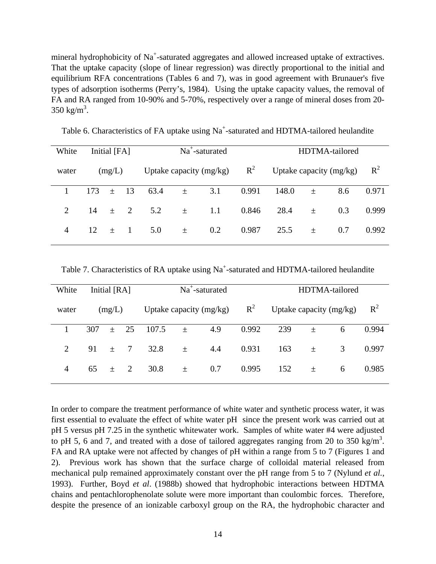mineral hydrophobicity of Na<sup>+</sup>-saturated aggregates and allowed increased uptake of extractives. That the uptake capacity (slope of linear regression) was directly proportional to the initial and equilibrium RFA concentrations (Tables 6 and 7), was in good agreement with Brunauer's five types of adsorption isotherms (Perry's, 1984). Using the uptake capacity values, the removal of FA and RA ranged from 10-90% and 5-70%, respectively over a range of mineral doses from 20-  $350 \text{ kg/m}^3$ .

| White          |     | Initial [FA] |    |                         |       | $Na^+$ -saturated |                           |       |                | HDTMA-tailored |       |
|----------------|-----|--------------|----|-------------------------|-------|-------------------|---------------------------|-------|----------------|----------------|-------|
| water          |     | (mg/L)       |    | Uptake capacity (mg/kg) |       | $R^2$             | Uptake capacity $(mg/kg)$ |       | $\mathbb{R}^2$ |                |       |
|                | 173 | $+$          | 13 | 63.4                    | $\pm$ | 3.1               | 0.991                     | 148.0 | $\pm$          | 8.6            | 0.971 |
| 2              | 14  | $+$          | 2  | 5.2                     | $\pm$ | 1.1               | 0.846                     | 28.4  | 土              | 0.3            | 0.999 |
| $\overline{A}$ | 12  | $+$          |    | 5.0                     | 土     | 0.2               | 0.987                     | 25.5  | 土              | 0.7            | 0.992 |
|                |     |              |    |                         |       |                   |                           |       |                |                |       |

Table 6. Characteristics of FA uptake using  $Na^+$ -saturated and HDTMA-tailored heulandite

Table 7. Characteristics of RA uptake using  $Na^+$ -saturated and HDTMA-tailored heulandite

| White          | Initial [RA] |     |        |                           |       | $Na^+$ -saturated |                           |     |       | HDTMA-tailored |       |
|----------------|--------------|-----|--------|---------------------------|-------|-------------------|---------------------------|-----|-------|----------------|-------|
| water          | (mg/L)       |     |        | Uptake capacity $(mg/kg)$ |       | $R^2$             | Uptake capacity $(mg/kg)$ |     |       | $R^2$          |       |
|                | 307          | $+$ | 25     | 107.5                     | $\pm$ | 4.9               | 0.992                     | 239 | 土     | 6              | 0.994 |
| $\overline{2}$ | 91           | $+$ | $\tau$ | 32.8                      | 士     | 4.4               | 0.931                     | 163 | 土     | 3              | 0.997 |
| 4              | 65           | $+$ | 2      | 30.8                      | $\pm$ | 0.7               | 0.995                     | 152 | $\pm$ | 6              | 0.985 |
|                |              |     |        |                           |       |                   |                           |     |       |                |       |

In order to compare the treatment performance of white water and synthetic process water, it was first essential to evaluate the effect of white water pH since the present work was carried out at pH 5 versus pH 7.25 in the synthetic whitewater work. Samples of white water #4 were adjusted to pH 5, 6 and 7, and treated with a dose of tailored aggregates ranging from 20 to 350 kg/m<sup>3</sup>. FA and RA uptake were not affected by changes of pH within a range from 5 to 7 (Figures 1 and 2). Previous work has shown that the surface charge of colloidal material released from mechanical pulp remained approximately constant over the pH range from 5 to 7 (Nylund *et al.*, 1993). Further, Boyd *et al*. (1988b) showed that hydrophobic interactions between HDTMA chains and pentachlorophenolate solute were more important than coulombic forces. Therefore, despite the presence of an ionizable carboxyl group on the RA, the hydrophobic character and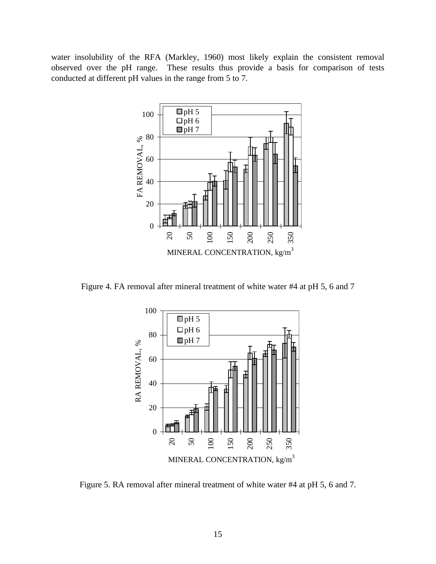water insolubility of the RFA (Markley, 1960) most likely explain the consistent removal observed over the pH range. These results thus provide a basis for comparison of tests conducted at different pH values in the range from 5 to 7.



Figure 4. FA removal after mineral treatment of white water #4 at pH 5, 6 and 7



Figure 5. RA removal after mineral treatment of white water #4 at pH 5, 6 and 7.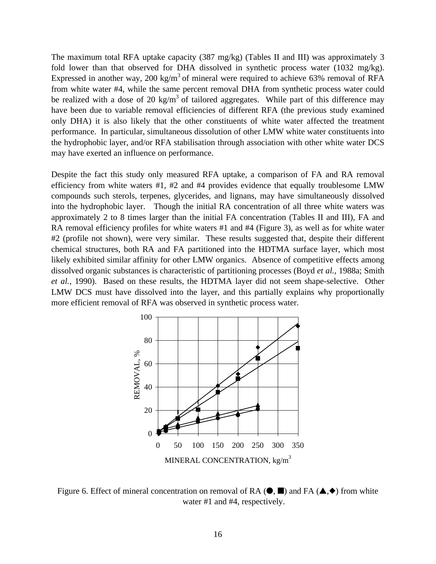The maximum total RFA uptake capacity (387 mg/kg) (Tables II and III) was approximately 3 fold lower than that observed for DHA dissolved in synthetic process water (1032 mg/kg). Expressed in another way, 200 kg/m<sup>3</sup> of mineral were required to achieve 63% removal of RFA from white water #4, while the same percent removal DHA from synthetic process water could be realized with a dose of 20 kg/m<sup>3</sup> of tailored aggregates. While part of this difference may have been due to variable removal efficiencies of different RFA (the previous study examined only DHA) it is also likely that the other constituents of white water affected the treatment performance. In particular, simultaneous dissolution of other LMW white water constituents into the hydrophobic layer, and/or RFA stabilisation through association with other white water DCS may have exerted an influence on performance.

Despite the fact this study only measured RFA uptake, a comparison of FA and RA removal efficiency from white waters #1, #2 and #4 provides evidence that equally troublesome LMW compounds such sterols, terpenes, glycerides, and lignans, may have simultaneously dissolved into the hydrophobic layer. Though the initial RA concentration of all three white waters was approximately 2 to 8 times larger than the initial FA concentration (Tables II and III), FA and RA removal efficiency profiles for white waters #1 and #4 (Figure 3), as well as for white water #2 (profile not shown), were very similar. These results suggested that, despite their different chemical structures, both RA and FA partitioned into the HDTMA surface layer, which most likely exhibited similar affinity for other LMW organics. Absence of competitive effects among dissolved organic substances is characteristic of partitioning processes (Boyd *et al.,* 1988a; Smith *et al.,* 1990). Based on these results, the HDTMA layer did not seem shape-selective. Other LMW DCS must have dissolved into the layer, and this partially explains why proportionally more efficient removal of RFA was observed in synthetic process water.



Figure 6. Effect of mineral concentration on removal of RA  $(\bullet, \blacksquare)$  and FA  $(\blacktriangle, \diamond)$  from white water #1 and #4, respectively.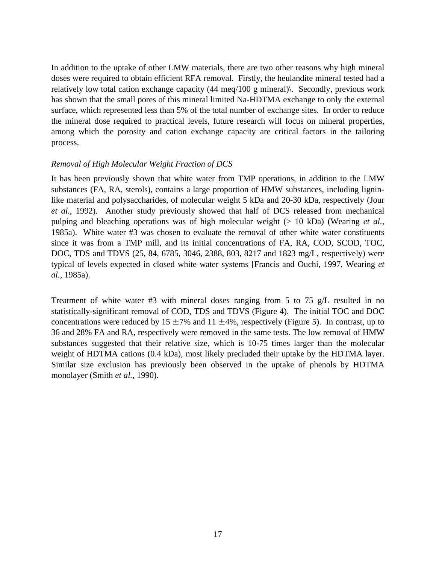In addition to the uptake of other LMW materials, there are two other reasons why high mineral doses were required to obtain efficient RFA removal. Firstly, the heulandite mineral tested had a relatively low total cation exchange capacity (44 meq/100 g mineral)\. Secondly, previous work has shown that the small pores of this mineral limited Na-HDTMA exchange to only the external surface, which represented less than 5% of the total number of exchange sites. In order to reduce the mineral dose required to practical levels, future research will focus on mineral properties, among which the porosity and cation exchange capacity are critical factors in the tailoring process.

#### *Removal of High Molecular Weight Fraction of DCS*

It has been previously shown that white water from TMP operations, in addition to the LMW substances (FA, RA, sterols), contains a large proportion of HMW substances, including ligninlike material and polysaccharides, of molecular weight 5 kDa and 20-30 kDa, respectively (Jour *et al.*, 1992). Another study previously showed that half of DCS released from mechanical pulping and bleaching operations was of high molecular weight (> 10 kDa) (Wearing *et al.*, 1985a). White water #3 was chosen to evaluate the removal of other white water constituents since it was from a TMP mill, and its initial concentrations of FA, RA, COD, SCOD, TOC, DOC, TDS and TDVS (25, 84, 6785, 3046, 2388, 803, 8217 and 1823 mg/L, respectively) were typical of levels expected in closed white water systems [Francis and Ouchi, 1997, Wearing *et al.,* 1985a).

Treatment of white water  $#3$  with mineral doses ranging from 5 to 75 g/L resulted in no statistically-significant removal of COD, TDS and TDVS (Figure 4). The initial TOC and DOC concentrations were reduced by  $15 \pm 7\%$  and  $11 \pm 4\%$ , respectively (Figure 5). In contrast, up to 36 and 28% FA and RA, respectively were removed in the same tests. The low removal of HMW substances suggested that their relative size, which is 10-75 times larger than the molecular weight of HDTMA cations (0.4 kDa), most likely precluded their uptake by the HDTMA layer. Similar size exclusion has previously been observed in the uptake of phenols by HDTMA monolayer (Smith *et al.,* 1990).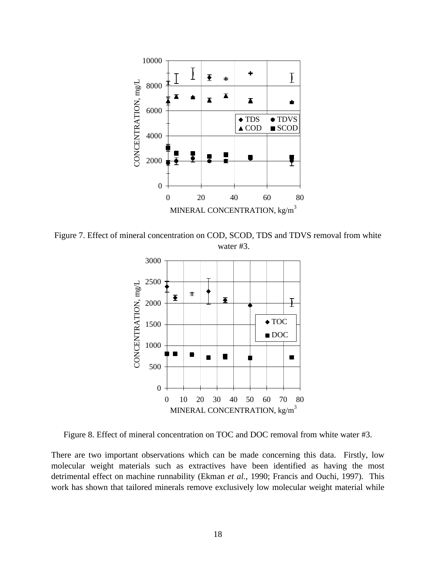

Figure 7. Effect of mineral concentration on COD, SCOD, TDS and TDVS removal from white water #3.



Figure 8. Effect of mineral concentration on TOC and DOC removal from white water #3.

There are two important observations which can be made concerning this data. Firstly, low molecular weight materials such as extractives have been identified as having the most detrimental effect on machine runnability (Ekman *et al.*, 1990; Francis and Ouchi, 1997). This work has shown that tailored minerals remove exclusively low molecular weight material while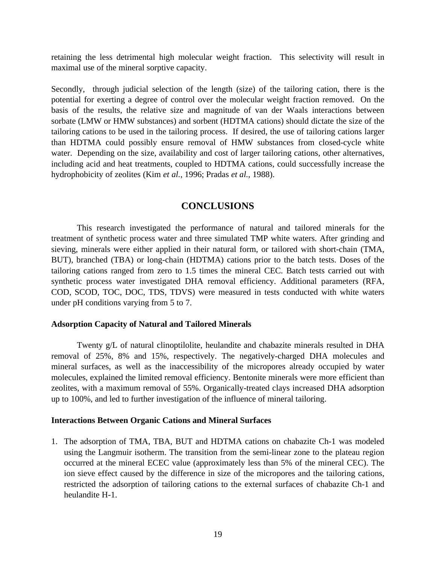retaining the less detrimental high molecular weight fraction. This selectivity will result in maximal use of the mineral sorptive capacity.

Secondly, through judicial selection of the length (size) of the tailoring cation, there is the potential for exerting a degree of control over the molecular weight fraction removed. On the basis of the results, the relative size and magnitude of van der Waals interactions between sorbate (LMW or HMW substances) and sorbent (HDTMA cations) should dictate the size of the tailoring cations to be used in the tailoring process. If desired, the use of tailoring cations larger than HDTMA could possibly ensure removal of HMW substances from closed-cycle white water. Depending on the size, availability and cost of larger tailoring cations, other alternatives, including acid and heat treatments, coupled to HDTMA cations, could successfully increase the hydrophobicity of zeolites (Kim *et al.*, 1996; Pradas *et al.*, 1988).

#### **CONCLUSIONS**

This research investigated the performance of natural and tailored minerals for the treatment of synthetic process water and three simulated TMP white waters. After grinding and sieving, minerals were either applied in their natural form, or tailored with short-chain (TMA, BUT), branched (TBA) or long-chain (HDTMA) cations prior to the batch tests. Doses of the tailoring cations ranged from zero to 1.5 times the mineral CEC. Batch tests carried out with synthetic process water investigated DHA removal efficiency. Additional parameters (RFA, COD, SCOD, TOC, DOC, TDS, TDVS) were measured in tests conducted with white waters under pH conditions varying from 5 to 7.

#### **Adsorption Capacity of Natural and Tailored Minerals**

Twenty g/L of natural clinoptilolite, heulandite and chabazite minerals resulted in DHA removal of 25%, 8% and 15%, respectively. The negatively-charged DHA molecules and mineral surfaces, as well as the inaccessibility of the micropores already occupied by water molecules, explained the limited removal efficiency. Bentonite minerals were more efficient than zeolites, with a maximum removal of 55%. Organically-treated clays increased DHA adsorption up to 100%, and led to further investigation of the influence of mineral tailoring.

#### **Interactions Between Organic Cations and Mineral Surfaces**

1. The adsorption of TMA, TBA, BUT and HDTMA cations on chabazite Ch-1 was modeled using the Langmuir isotherm. The transition from the semi-linear zone to the plateau region occurred at the mineral ECEC value (approximately less than 5% of the mineral CEC). The ion sieve effect caused by the difference in size of the micropores and the tailoring cations, restricted the adsorption of tailoring cations to the external surfaces of chabazite Ch-1 and heulandite H-1.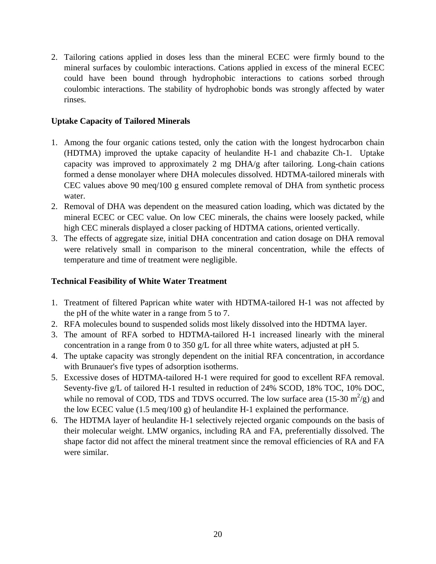2. Tailoring cations applied in doses less than the mineral ECEC were firmly bound to the mineral surfaces by coulombic interactions. Cations applied in excess of the mineral ECEC could have been bound through hydrophobic interactions to cations sorbed through coulombic interactions. The stability of hydrophobic bonds was strongly affected by water rinses.

#### **Uptake Capacity of Tailored Minerals**

- 1. Among the four organic cations tested, only the cation with the longest hydrocarbon chain (HDTMA) improved the uptake capacity of heulandite H-1 and chabazite Ch-1. Uptake capacity was improved to approximately 2 mg DHA/g after tailoring. Long-chain cations formed a dense monolayer where DHA molecules dissolved. HDTMA-tailored minerals with CEC values above 90 meq/100 g ensured complete removal of DHA from synthetic process water.
- 2. Removal of DHA was dependent on the measured cation loading, which was dictated by the mineral ECEC or CEC value. On low CEC minerals, the chains were loosely packed, while high CEC minerals displayed a closer packing of HDTMA cations, oriented vertically.
- 3. The effects of aggregate size, initial DHA concentration and cation dosage on DHA removal were relatively small in comparison to the mineral concentration, while the effects of temperature and time of treatment were negligible.

#### **Technical Feasibility of White Water Treatment**

- 1. Treatment of filtered Paprican white water with HDTMA-tailored H-1 was not affected by the pH of the white water in a range from 5 to 7.
- 2. RFA molecules bound to suspended solids most likely dissolved into the HDTMA layer.
- 3. The amount of RFA sorbed to HDTMA-tailored H-1 increased linearly with the mineral concentration in a range from 0 to 350 g/L for all three white waters, adjusted at pH 5.
- 4. The uptake capacity was strongly dependent on the initial RFA concentration, in accordance with Brunauer's five types of adsorption isotherms.
- 5. Excessive doses of HDTMA-tailored H-1 were required for good to excellent RFA removal. Seventy-five g/L of tailored H-1 resulted in reduction of 24% SCOD, 18% TOC, 10% DOC, while no removal of COD, TDS and TDVS occurred. The low surface area  $(15{\text -}30 \text{ m}^2/\text{g})$  and the low ECEC value (1.5 meq/100 g) of heulandite H-1 explained the performance.
- 6. The HDTMA layer of heulandite H-1 selectively rejected organic compounds on the basis of their molecular weight. LMW organics, including RA and FA, preferentially dissolved. The shape factor did not affect the mineral treatment since the removal efficiencies of RA and FA were similar.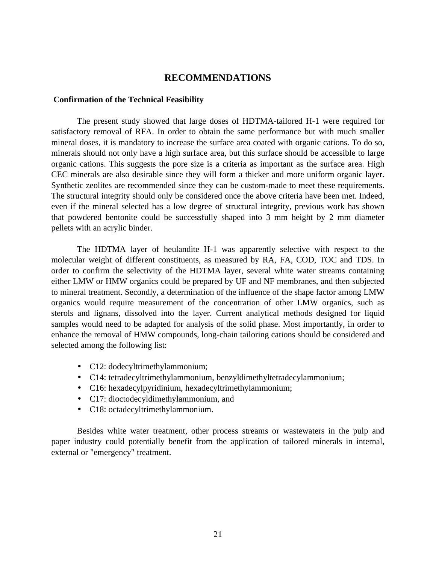#### **RECOMMENDATIONS**

#### **Confirmation of the Technical Feasibility**

The present study showed that large doses of HDTMA-tailored H-1 were required for satisfactory removal of RFA. In order to obtain the same performance but with much smaller mineral doses, it is mandatory to increase the surface area coated with organic cations. To do so, minerals should not only have a high surface area, but this surface should be accessible to large organic cations. This suggests the pore size is a criteria as important as the surface area. High CEC minerals are also desirable since they will form a thicker and more uniform organic layer. Synthetic zeolites are recommended since they can be custom-made to meet these requirements. The structural integrity should only be considered once the above criteria have been met. Indeed, even if the mineral selected has a low degree of structural integrity, previous work has shown that powdered bentonite could be successfully shaped into 3 mm height by 2 mm diameter pellets with an acrylic binder.

The HDTMA layer of heulandite H-1 was apparently selective with respect to the molecular weight of different constituents, as measured by RA, FA, COD, TOC and TDS. In order to confirm the selectivity of the HDTMA layer, several white water streams containing either LMW or HMW organics could be prepared by UF and NF membranes, and then subjected to mineral treatment. Secondly, a determination of the influence of the shape factor among LMW organics would require measurement of the concentration of other LMW organics, such as sterols and lignans, dissolved into the layer. Current analytical methods designed for liquid samples would need to be adapted for analysis of the solid phase. Most importantly, in order to enhance the removal of HMW compounds, long-chain tailoring cations should be considered and selected among the following list:

- C12: dodecyltrimethylammonium;
- C14: tetradecyltrimethylammonium, benzyldimethyltetradecylammonium;
- C16: hexadecylpyridinium, hexadecyltrimethylammonium;
- C17: dioctodecyldimethylammonium, and
- C18: octadecyltrimethylammonium.

Besides white water treatment, other process streams or wastewaters in the pulp and paper industry could potentially benefit from the application of tailored minerals in internal, external or "emergency" treatment.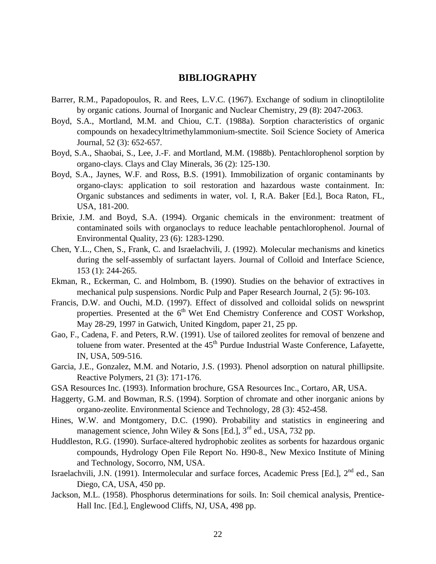#### **BIBLIOGRAPHY**

- Barrer, R.M., Papadopoulos, R. and Rees, L.V.C. (1967). Exchange of sodium in clinoptilolite by organic cations. Journal of Inorganic and Nuclear Chemistry, 29 (8): 2047-2063.
- Boyd, S.A., Mortland, M.M. and Chiou, C.T. (1988a). Sorption characteristics of organic compounds on hexadecyltrimethylammonium-smectite. Soil Science Society of America Journal, 52 (3): 652-657.
- Boyd, S.A., Shaobai, S., Lee, J.-F. and Mortland, M.M. (1988b). Pentachlorophenol sorption by organo-clays. Clays and Clay Minerals, 36 (2): 125-130.
- Boyd, S.A., Jaynes, W.F. and Ross, B.S. (1991). Immobilization of organic contaminants by organo-clays: application to soil restoration and hazardous waste containment. In: Organic substances and sediments in water, vol. I, R.A. Baker [Ed.], Boca Raton, FL, USA, 181-200.
- Brixie, J.M. and Boyd, S.A. (1994). Organic chemicals in the environment: treatment of contaminated soils with organoclays to reduce leachable pentachlorophenol. Journal of Environmental Quality, 23 (6): 1283-1290.
- Chen, Y.L., Chen, S., Frank, C. and Israelachvili, J. (1992). Molecular mechanisms and kinetics during the self-assembly of surfactant layers. Journal of Colloid and Interface Science, 153 (1): 244-265.
- Ekman, R., Eckerman, C. and Holmbom, B. (1990). Studies on the behavior of extractives in mechanical pulp suspensions. Nordic Pulp and Paper Research Journal, 2 (5): 96-103.
- Francis, D.W. and Ouchi, M.D. (1997). Effect of dissolved and colloidal solids on newsprint properties. Presented at the  $6<sup>th</sup>$  Wet End Chemistry Conference and COST Workshop, May 28-29, 1997 in Gatwich, United Kingdom, paper 21, 25 pp.
- Gao, F., Cadena, F. and Peters, R.W. (1991). Use of tailored zeolites for removal of benzene and toluene from water. Presented at the  $45<sup>th</sup>$  Purdue Industrial Waste Conference, Lafayette, IN, USA, 509-516.
- Garcia, J.E., Gonzalez, M.M. and Notario, J.S. (1993). Phenol adsorption on natural phillipsite. Reactive Polymers, 21 (3): 171-176.
- GSA Resources Inc. (1993). Information brochure, GSA Resources Inc., Cortaro, AR, USA.
- Haggerty, G.M. and Bowman, R.S. (1994). Sorption of chromate and other inorganic anions by organo-zeolite. Environmental Science and Technology, 28 (3): 452-458.
- Hines, W.W. and Montgomery, D.C. (1990). Probability and statistics in engineering and management science, John Wiley & Sons [Ed.],  $3^{rd}$  ed., USA, 732 pp.
- Huddleston, R.G. (1990). Surface-altered hydrophobic zeolites as sorbents for hazardous organic compounds, Hydrology Open File Report No. H90-8., New Mexico Institute of Mining and Technology, Socorro, NM, USA.
- Israelachvili, J.N. (1991). Intermolecular and surface forces, Academic Press [Ed.], 2<sup>nd</sup> ed., San Diego, CA, USA, 450 pp.
- Jackson, M.L. (1958). Phosphorus determinations for soils. In: Soil chemical analysis, Prentice-Hall Inc. [Ed.], Englewood Cliffs, NJ, USA, 498 pp.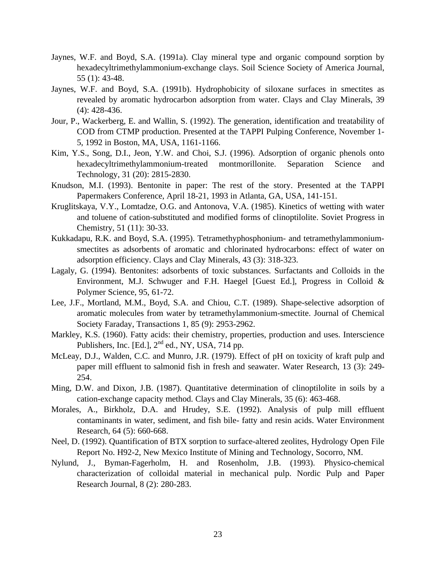- Jaynes, W.F. and Boyd, S.A. (1991a). Clay mineral type and organic compound sorption by hexadecyltrimethylammonium-exchange clays. Soil Science Society of America Journal, 55 (1): 43-48.
- Jaynes, W.F. and Boyd, S.A. (1991b). Hydrophobicity of siloxane surfaces in smectites as revealed by aromatic hydrocarbon adsorption from water. Clays and Clay Minerals, 39 (4): 428-436.
- Jour, P., Wackerberg, E. and Wallin, S. (1992). The generation, identification and treatability of COD from CTMP production. Presented at the TAPPI Pulping Conference, November 1- 5, 1992 in Boston, MA, USA, 1161-1166.
- Kim, Y.S., Song, D.I., Jeon, Y.W. and Choi, S.J. (1996). Adsorption of organic phenols onto hexadecyltrimethylammonium-treated montmorillonite. Separation Science and Technology, 31 (20): 2815-2830.
- Knudson, M.I. (1993). Bentonite in paper: The rest of the story. Presented at the TAPPI Papermakers Conference, April 18-21, 1993 in Atlanta, GA, USA, 141-151.
- Kruglitskaya, V.Y., Lomtadze, O.G. and Antonova, V.A. (1985). Kinetics of wetting with water and toluene of cation-substituted and modified forms of clinoptilolite. Soviet Progress in Chemistry, 51 (11): 30-33.
- Kukkadapu, R.K. and Boyd, S.A. (1995). Tetramethyphosphonium- and tetramethylammoniumsmectites as adsorbents of aromatic and chlorinated hydrocarbons: effect of water on adsorption efficiency. Clays and Clay Minerals, 43 (3): 318-323.
- Lagaly, G. (1994). Bentonites: adsorbents of toxic substances. Surfactants and Colloids in the Environment, M.J. Schwuger and F.H. Haegel [Guest Ed.], Progress in Colloid & Polymer Science, 95, 61-72.
- Lee, J.F., Mortland, M.M., Boyd, S.A. and Chiou, C.T. (1989). Shape-selective adsorption of aromatic molecules from water by tetramethylammonium-smectite. Journal of Chemical Society Faraday, Transactions 1, 85 (9): 2953-2962.
- Markley, K.S. (1960). Fatty acids: their chemistry, properties, production and uses. Interscience Publishers, Inc. [Ed.],  $2<sup>nd</sup>$  ed., NY, USA, 714 pp.
- McLeay, D.J., Walden, C.C. and Munro, J.R. (1979). Effect of pH on toxicity of kraft pulp and paper mill effluent to salmonid fish in fresh and seawater. Water Research, 13 (3): 249- 254.
- Ming, D.W. and Dixon, J.B. (1987). Quantitative determination of clinoptilolite in soils by a cation-exchange capacity method. Clays and Clay Minerals, 35 (6): 463-468.
- Morales, A., Birkholz, D.A. and Hrudey, S.E. (1992). Analysis of pulp mill effluent contaminants in water, sediment, and fish bile- fatty and resin acids. Water Environment Research, 64 (5): 660-668.
- Neel, D. (1992). Quantification of BTX sorption to surface-altered zeolites, Hydrology Open File Report No. H92-2, New Mexico Institute of Mining and Technology, Socorro, NM.
- Nylund, J., Byman-Fagerholm, H. and Rosenholm, J.B. (1993). Physico-chemical characterization of colloidal material in mechanical pulp. Nordic Pulp and Paper Research Journal, 8 (2): 280-283.